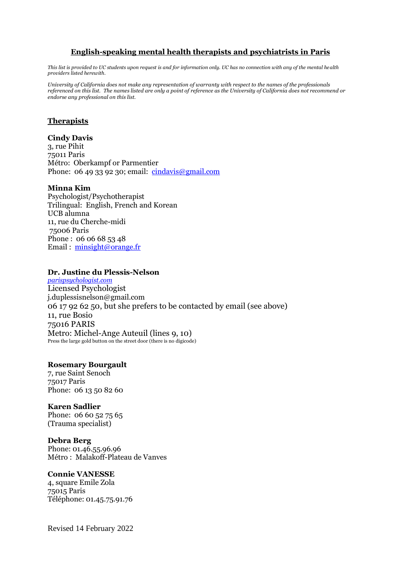## **English-speaking mental health therapists and psychiatrists in Paris**

*This list is provided to UC students upon request is and for information only. UC has no connection with any of the mental health providers listed herewith.*

*University of California does not make any representation of warranty with respect to the names of the professionals referenced on this list. The names listed are only a point of reference as the University of California does not recommend or endorse any professional on this list.*

## **Therapists**

#### **Cindy Davis**

3, rue Pihit 75011 Paris Métro: Oberkampf or Parmentier Phone: 06 49 33 92 30; email:  $\frac{\text{cindavis@gmail.com}}{\text{cindavis@gmail.com}}$  $\frac{\text{cindavis@gmail.com}}{\text{cindavis@gmail.com}}$  $\frac{\text{cindavis@gmail.com}}{\text{cindavis@gmail.com}}$ 

#### **Minna Kim**

Psychologist/Psychotherapist Trilingual: English, French and Korean UCB alumna 11, rue du Cherche-midi 75006 Paris Phone : 06 06 68 53 48 Email : [minsight@orange.fr](mailto:minsight@orange.fr)

#### **Dr. Justine du Plessis-Nelson**

*[parispsychologist.com](http://parispsychologist.com/)* Licensed Psychologist j.duplessisnelson@gmail.com 06 17 92 62 50, but she prefers to be contacted by email (see above) 11, rue Bosio 75016 PARIS Metro: Michel-Ange Auteuil (lines 9, 10) Press the large gold button on the street door (there is no digicode)

## **Rosemary Bourgault**

7, rue Saint Senoch 75017 Paris Phone: 06 13 50 82 60

#### **Karen Sadlier**

Phone: 06 60 52 75 65 (Trauma specialist)

### **Debra Berg**

Phone: 01.46.55.96.96 Métro : Malakoff-Plateau de Vanves

## **Connie VANESSE**

4, square Emile Zola 75015 Paris Téléphone: 01.45.75.91.76

Revised 14 February 2022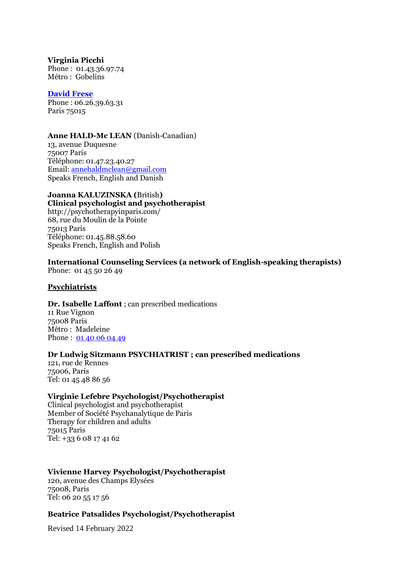**Virginia Picchi** Phone : 01.43.36.97.74 Métro : Gobelins

### **[David Frese](https://www.paristherapyservices.com/pages/profiles/frese.html)**

Phone : 06.26.39.63.31 Paris 75015

### **Anne HALD-Mc LEAN** (Danish-Canadian)

13, avenue Duquesne 75007 Paris Téléphone: 01.47.23.40.27 Email[: annehaldmclean@gmail.com](mailto:annehaldmclean@gmail.com) Speaks French, English and Danish

# **Joanna KALUZINSKA (**British**)**

**Clinical psychologist and psychotherapist** http://psychotherapyinparis.com/ 68, rue du Moulin de la Pointe 75013 Paris Téléphone: 01.45.88.58.60 Speaks French, English and Polish

**International Counseling Services (a network of English-speaking therapists)** Phone: 01 45 50 26 49

## **Psychiatrists**

**Dr. Isabelle Laffont** ; can prescribed medications 11 Rue Vignon 75008 Paris Métro : Madeleine Phone : [01 40 06 04 49](javascript:void(0))

## **Dr Ludwig Sitzmann PSYCHIATRIST ; can prescribed medications**

121, rue de Rennes 75006, Paris Tel: 01 45 48 86 56

## **Virginie Lefebre Psychologist/Psychotherapist**

Clinical psychologist and psychotherapist Member of Société Psychanalytique de Paris Therapy for children and adults 75015 Paris Tel: +33 6 08 17 41 62

# **Vivienne Harvey Psychologist/Psychotherapist**

120, avenue des Champs Elysées 75008, Paris Tel: 06 20 55 17 56

## **Beatrice Patsalides Psychologist/Psychotherapist**

Revised 14 February 2022